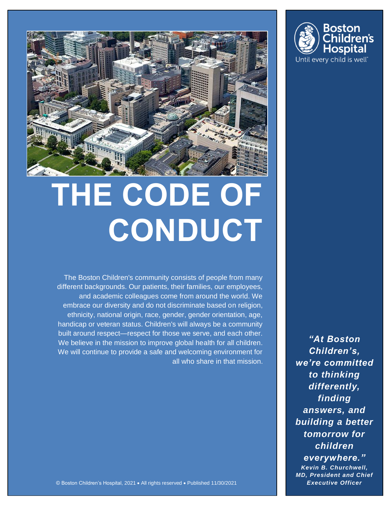

# **THE CODE OF CONDUCT**

The Boston Children's community consists of people from many different backgrounds. Our patients, their families, our employees, and academic colleagues come from around the world. We embrace our diversity and do not discriminate based on religion, ethnicity, national origin, race, gender, gender orientation, age, handicap or veteran status. Children's will always be a community built around respect—respect for those we serve, and each other. We believe in the mission to improve global health for all children. We will continue to provide a safe and welcoming environment for all who share in that mission.

*"At Boston Children's, we're committed to thinking differently, finding answers, and building a better tomorrow for children everywhere." Kevin B. Churchwell, MD, President and Chief* 

© Boston Children's Hospital, 2021 • All rights reserved • Published 11/30/2021 *Executive Officer*

Boston hildren's **Hospital** Until every child is well<sup>®</sup>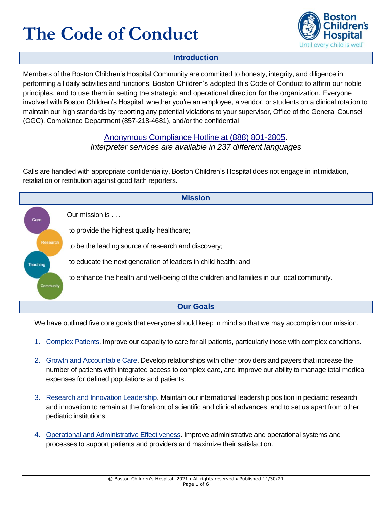

#### **Introduction**

Members of the Boston Children's Hospital Community are committed to honesty, integrity, and diligence in performing all daily activities and functions. Boston Children's adopted this Code of Conduct to affirm our noble principles, and to use them in setting the strategic and operational direction for the organization. Everyone involved with Boston Children's Hospital, whether you're an employee, a vendor, or students on a clinical rotation to maintain our high standards by reporting any potential violations to your supervisor, Office of the General Counsel (OGC), Compliance Department (857-218-4681), and/or the confidential

#### [Anonymous Compliance Hotline at \(888\) 801-2805.](http://web2.tch.harvard.edu/compliance/mainpageS2628P4.html)

*Interpreter services are available in 237 different languages*

Calls are handled with appropriate confidentiality. Boston Children's Hospital does not engage in intimidation, retaliation or retribution against good faith reporters.



We have outlined five core goals that everyone should keep in mind so that we may accomplish our mission.

- 1. Complex Patients. Improve our capacity to care for all patients, particularly those with complex conditions.
- 2. Growth and Accountable Care. Develop relationships with other providers and payers that increase the number of patients with integrated access to complex care, and improve our ability to manage total medical expenses for defined populations and patients.
- 3. Research and Innovation Leadership. Maintain our international leadership position in pediatric research and innovation to remain at the forefront of scientific and clinical advances, and to set us apart from other pediatric institutions.
- 4. Operational and Administrative Effectiveness. Improve administrative and operational systems and processes to support patients and providers and maximize their satisfaction.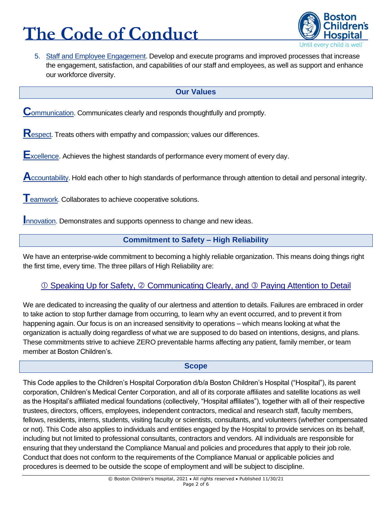

5. Staff and Employee Engagement. Develop and execute programs and improved processes that increase the engagement, satisfaction, and capabilities of our staff and employees, as well as support and enhance our workforce diversity.

#### **Our Values**

**C**ommunication. Communicates clearly and responds thoughtfully and promptly.

**R**espect. Treats others with empathy and compassion; values our differences.

**E**xcellence. Achieves the highest standards of performance every moment of every day.

**A**ccountability. Hold each other to high standards of performance through attention to detail and personal integrity.

**T**eamwork. Collaborates to achieve cooperative solutions.

**Innovation. Demonstrates and supports openness to change and new ideas.** 

#### **Commitment to Safety – High Reliability**

We have an enterprise-wide commitment to becoming a highly reliable organization. This means doing things right the first time, every time. The three pillars of High Reliability are:

#### *①* **Speaking Up for Safety, ② [Communicating Clearly, and](http://thriving.childrenshospital.org/wp-content/uploads/2015/09/ErrorPreventionToolKit.pdf) ③ Paying Attention to Detail**

We are dedicated to increasing the quality of our alertness and attention to details. Failures are embraced in order to take action to stop further damage from occurring, to learn why an event occurred, and to prevent it from happening again. Our focus is on an increased sensitivity to operations – which means looking at what the organization is actually doing regardless of what we are supposed to do based on intentions, designs, and plans. These commitments strive to achieve ZERO preventable harms affecting any patient, family member, or team member at Boston Children's.

#### **Scope**

This Code applies to the Children's Hospital Corporation d/b/a Boston Children's Hospital ("Hospital"), its parent corporation, Children's Medical Center Corporation, and all of its corporate affiliates and satellite locations as well as the Hospital's affiliated medical foundations (collectively, "Hospital affiliates"), together with all of their respective trustees, directors, officers, employees, independent contractors, medical and research staff, faculty members, fellows, residents, interns, students, visiting faculty or scientists, consultants, and volunteers (whether compensated or not). This Code also applies to individuals and entities engaged by the Hospital to provide services on its behalf, including but not limited to professional consultants, contractors and vendors. All individuals are responsible for ensuring that they understand the Compliance Manual and policies and procedures that apply to their job role. Conduct that does not conform to the requirements of the Compliance Manual or applicable policies and procedures is deemed to be outside the scope of employment and will be subject to discipline.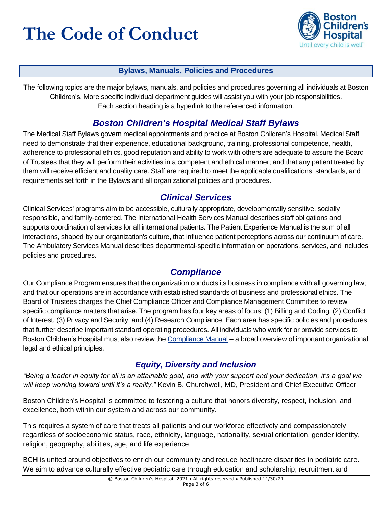

#### **Bylaws, Manuals, Policies and Procedures**

The following topics are the major bylaws, manuals, and policies and procedures governing all individuals at Boston Children's. More specific individual department guides will assist you with your job responsibilities. Each section heading is a hyperlink to the referenced information.

## *Boston Children's [Hospital Medical Staff Bylaws](http://chbshare.chboston.org/elibrary/admin/manuals/msbylaws/default.aspx)*

The Medical Staff Bylaws govern medical appointments and practice at Boston Children's Hospital. Medical Staff need to demonstrate that their experience, educational background, training, professional competence, health, adherence to professional ethics, good reputation and ability to work with others are adequate to assure the Board of Trustees that they will perform their activities in a competent and ethical manner; and that any patient treated by them will receive efficient and quality care. Staff are required to meet the applicable qualifications, standards, and requirements set forth in the Bylaws and all organizational policies and procedures.

### *[Clinical Services](http://chbshare.chboston.org/elibrary/clinsvc/default.aspx)*

Clinical Services' programs aim to be accessible, culturally appropriate, developmentally sensitive, socially responsible, and family-centered. The International Health Services Manual describes staff obligations and supports coordination of services for all international patients. The Patient Experience Manual is the sum of all interactions, shaped by our organization's culture, that influence patient perceptions across our continuum of care. The Ambulatory Services Manual describes departmental-specific information on operations, services, and includes policies and procedures.

# *Compliance*

Our Compliance Program ensures that the organization conducts its business in compliance with all governing law; and that our operations are in accordance with established standards of business and professional ethics. The Board of Trustees charges the Chief Compliance Officer and Compliance Management Committee to review specific compliance matters that arise. The program has four key areas of focus: (1) Billing and Coding, (2) Conflict of Interest, (3) Privacy and Security, and (4) Research Compliance. Each area has specific policies and procedures that further describe important standard operating procedures. All individuals who work for or provide services to Boston Children's Hospital must also review the Compliance Manual – a broad overview of important organizational legal and ethical principles.

### *Equity, Diversity and Inclusion*

*"Being a leader in equity for all is an attainable goal, and with your support and your dedication, it's a goal we will keep working toward until it's a reality."* Kevin B. Churchwell, MD, President and Chief Executive Officer

Boston Children's Hospital is committed to fostering a culture that honors diversity, respect, inclusion, and excellence, both within our system and across our community.

This requires a system of care that treats all patients and our workforce effectively and compassionately regardless of socioeconomic status, race, ethnicity, language, nationality, sexual orientation, gender identity, religion, geography, abilities, age, and life experience.

BCH is united around objectives to enrich our community and reduce healthcare disparities in pediatric care. We aim to advance culturally effective pediatric care through education and scholarship; recruitment and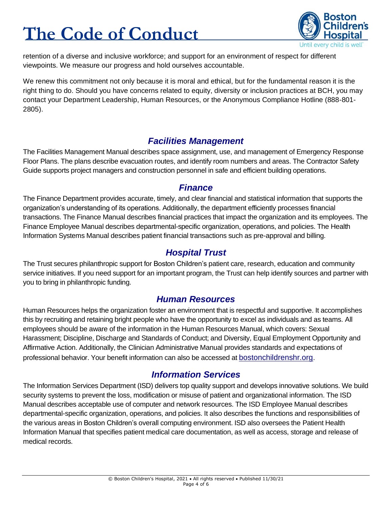

retention of a diverse and inclusive workforce; and support for an environment of respect for different viewpoints. We measure our progress and hold ourselves accountable.

We renew this commitment not only because it is moral and ethical, but for the fundamental reason it is the right thing to do. Should you have concerns related to equity, diversity or inclusion practices at BCH, you may contact your Department Leadership, Human Resources, or the Anonymous Compliance Hotline (888-801- 2805).

#### *[Facilities Management](http://chbshare.chboston.org/elibrary/recp/default.aspx)*

The Facilities Management Manual describes space assignment, use, and management of Emergency Response Floor Plans. The plans describe evacuation routes, and identify room numbers and areas. The Contractor Safety Guide supports project managers and construction personnel in safe and efficient building operations.

#### *[Finance](http://chbshare.chboston.org/elibrary/fin/default.aspx)*

The Finance Department provides accurate, timely, and clear financial and statistical information that supports the organization's understanding of its operations. Additionally, the department efficiently processes financial transactions. The Finance Manual describes financial practices that impact the organization and its employees. The Finance Employee Manual describes departmental-specific organization, operations, and policies. The Health Information Systems Manual describes patient financial transactions such as pre-approval and billing.

#### *[Hospital Trust](http://chbshare.chboston.org/elibrary/cht/default.aspx)*

The Trust secures philanthropic support for Boston Children's patient care, research, education and community service initiatives. If you need support for an important program, the Trust can help identify sources and partner with you to bring in philanthropic funding.

#### *[Human Resources](http://chbshare.chboston.org/elibrary/hr/default.aspx)*

Human Resources helps the organization foster an environment that is respectful and supportive. It accomplishes this by recruiting and retaining bright people who have the opportunity to excel as individuals and as teams. All employees should be aware of the information in th[e Human Resources Manual,](http://chbshare/elibrary/hr/manuals/hrpp) which covers: Sexual Harassment; Discipline, Discharge and Standards of Conduct; and Diversity, Equal Employment Opportunity and Affirmative Action. Additionally, the Clinician Administrative Manual provides standards and expectations of professional behavior. Your benefit information can also be accessed at [bostonchildrenshr.org](http://bostonchildrenshr.org/).

# *[Information Services](http://chbshare.chboston.org/elibrary/isd/default.aspx)*

The Information Services Department (ISD) delivers top quality support and develops innovative solutions. We build security systems to prevent the loss, modification or misuse of patient and organizational information. The ISD Manual describes acceptable use of computer and network resources. The ISD Employee Manual describes departmental-specific organization, operations, and policies. It also describes the functions and responsibilities of the various areas in Boston Children's overall computing environment. ISD also oversees the Patient Health Information Manual that specifies patient medical care documentation, as well as access, storage and release of medical records.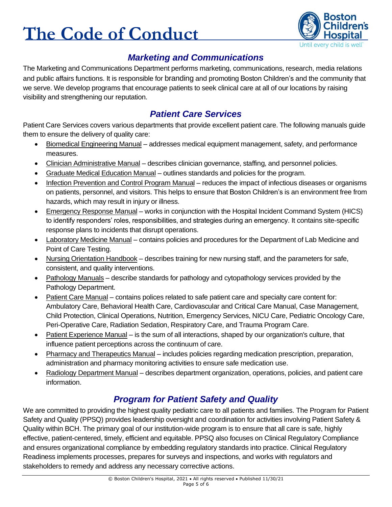

## *[Marketing and Communications](http://web2.tch.harvard.edu/marcomm/)*

The Marketing and Communications Department performs marketing, communications, research, media relations and public affairs functions. It is responsible for [branding](file:///C:/Users/ch185868/Downloads/bch_brandguidelines%20(1).pdf) and promoting Boston Children's and the community that we serve. We develop programs that encourage patients to seek clinical care at all of our locations by raising visibility and strengthening our reputation.

# *[Patient Care Services](http://chbshare.chboston.org/elibrary/ptsvc/default.aspx)*

Patient Care Services covers various departments that provide excellent patient care. The following manuals guide them to ensure the delivery of quality care:

- Biomedical Engineering Manual addresses medical equipment management, safety, and performance measures.
- Clinician Administrative Manual describes clinician governance, staffing, and personnel policies.
- Graduate Medical Education Manual outlines standards and policies for the program.
- Infection Prevention and Control Program Manual reduces the impact of infectious diseases or organisms on patients, personnel, and visitors. This helps to ensure that Boston Children's is an environment free from hazards, which may result in injury or illness.
- Emergency Response Manual works in conjunction with the Hospital Incident Command System (HICS) to identify responders' roles, responsibilities, and strategies during an emergency. It contains site-specific response plans to incidents that disrupt operations.
- Laboratory Medicine Manual contains policies and procedures for the Department of Lab Medicine and Point of Care Testing.
- Nursing Orientation Handbook describes training for new nursing staff, and the parameters for safe, consistent, and quality interventions.
- Pathology Manuals describe standards for pathology and cytopathology services provided by the Pathology Department.
- Patient Care Manual contains polices related to safe patient care and specialty care content for: Ambulatory Care, Behavioral Health Care, Cardiovascular and Critical Care Manual, Case Management, Child Protection, Clinical Operations, Nutrition, Emergency Services, NICU Care, Pediatric Oncology Care, Peri-Operative Care, Radiation Sedation, Respiratory Care, and Trauma Program Care.
- Patient Experience Manual is the sum of all interactions, shaped by our organization's culture, that influence patient perceptions across the continuum of care.
- Pharmacy and Therapeutics Manual includes policies regarding medication prescription, preparation, administration and pharmacy monitoring activities to ensure safe medication use.
- Radiology Department Manual describes department organization, operations, policies, and patient care information.

# *[Program for Patient Safety and Quality](http://chbshare.chboston.org/elibrary/ppsq/default.aspx)*

We are committed to providing the highest quality pediatric care to all patients and families. The Program for Patient Safety and Quality (PPSQ) provides leadership oversight and coordination for activities involving Patient Safety & Quality within BCH. The primary goal of our institution-wide program is to ensure that all care is safe, highly effective, patient-centered, timely, efficient and equitable. PPSQ also focuses on Clinical Regulatory Compliance and ensures organizational compliance by embedding regulatory standards into practice. Clinical Regulatory Readiness implements processes, prepares for surveys and inspections, and works with regulators and stakeholders to remedy and address any necessary corrective actions.